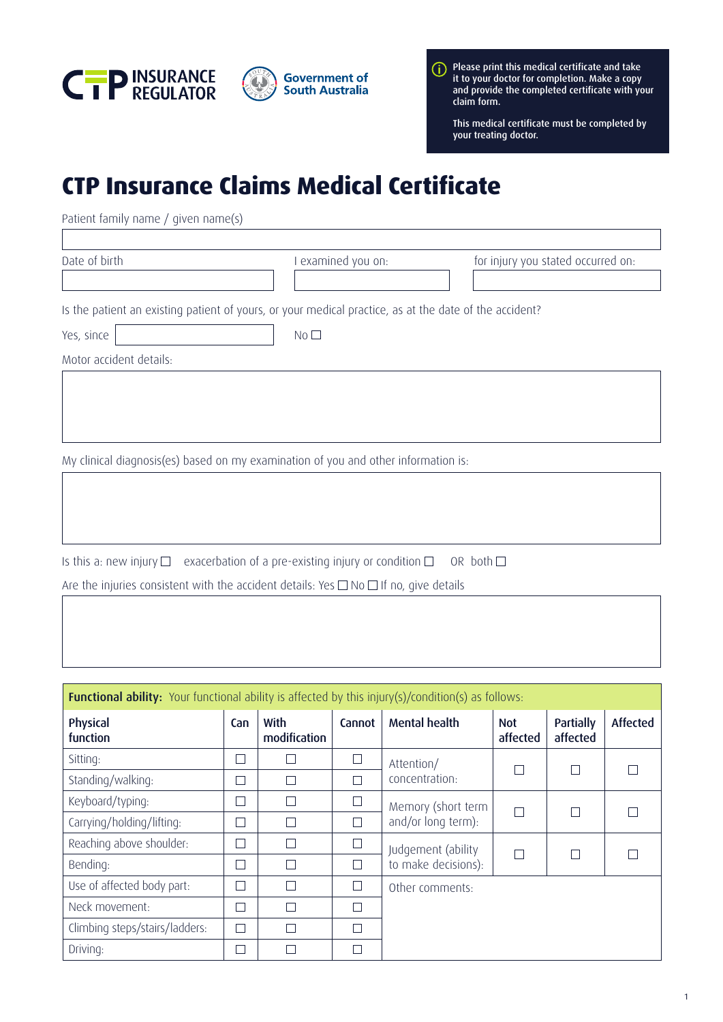



Please print this medical certificate and take it to your doctor for completion. Make a copy and provide the completed certificate with your claim form.

This medical certificate must be completed by your treating doctor.

## **CTP Insurance Claims Medical Certificate**

Patient family name / given name(s)

Date of birth I examined you on: for injury you stated occurred on:

Is the patient an existing patient of yours, or your medical practice, as at the date of the accident?

Yes, since No

Motor accident details:

My clinical diagnosis(es) based on my examination of you and other information is:

Is this a: new injury  $\Box$  exacerbation of a pre-existing injury or condition  $\Box$  OR both  $\Box$ Are the injuries consistent with the accident details: Yes  $\Box$  No  $\Box$  If no, give details

| <b>Functional ability:</b> Your functional ability is affected by this injury(s)/condition(s) as follows: |                   |                      |        |                      |                        |                       |                 |
|-----------------------------------------------------------------------------------------------------------|-------------------|----------------------|--------|----------------------|------------------------|-----------------------|-----------------|
| Physical<br>function                                                                                      | Can               | With<br>modification | Cannot | <b>Mental health</b> | <b>Not</b><br>affected | Partially<br>affected | <b>Affected</b> |
| Sitting:                                                                                                  | $\vert \ \ \vert$ | Г                    |        | Attention/           |                        |                       |                 |
| Standing/walking:                                                                                         | ×.                | $\Box$               |        | concentration:       |                        |                       |                 |
| Keyboard/typing:                                                                                          | ۰                 | $\Box$               |        | Memory (short term   |                        |                       |                 |
| Carrying/holding/lifting:                                                                                 |                   | Г                    |        | and/or long term):   |                        |                       |                 |
| Reaching above shoulder:                                                                                  | ۰                 | П                    |        | Judgement (ability   |                        |                       |                 |
| Bending:                                                                                                  | ٦                 | П                    |        | to make decisions):  |                        |                       |                 |
| Use of affected body part:                                                                                | П                 | П                    |        | Other comments:      |                        |                       |                 |
| Neck movement:                                                                                            | ┓                 | Г                    |        |                      |                        |                       |                 |
| Climbing steps/stairs/ladders:                                                                            | П                 | П                    |        |                      |                        |                       |                 |
| Driving:                                                                                                  |                   | Τ                    |        |                      |                        |                       |                 |